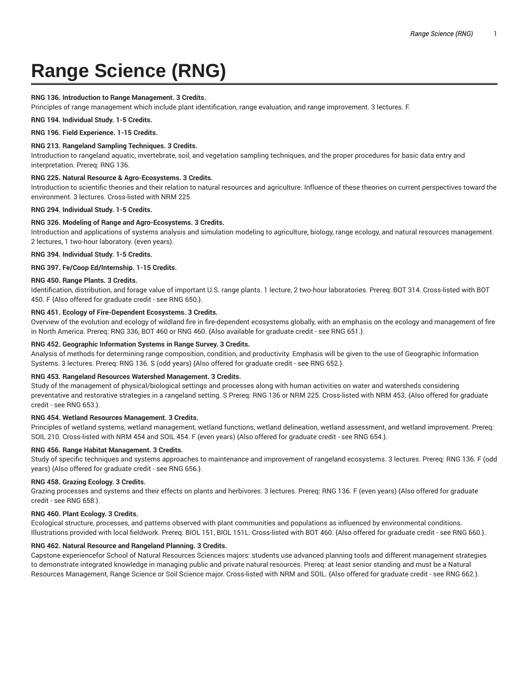# **Range Science (RNG)**

# **RNG 136. Introduction to Range Management. 3 Credits.**

Principles of range management which include plant identification, range evaluation, and range improvement. 3 lectures. F.

**RNG 194. Individual Study. 1-5 Credits.**

**RNG 196. Field Experience. 1-15 Credits.**

# **RNG 213. Rangeland Sampling Techniques. 3 Credits.**

Introduction to rangeland aquatic, invertebrate, soil, and vegetation sampling techniques, and the proper procedures for basic data entry and interpretation. Prereq: RNG 136.

# **RNG 225. Natural Resource & Agro-Ecosystems. 3 Credits.**

Introduction to scientific theories and their relation to natural resources and agriculture. Influence of these theories on current perspectives toward the environment. 3 lectures. Cross-listed with NRM 225.

**RNG 294. Individual Study. 1-5 Credits.**

# **RNG 326. Modeling of Range and Agro-Ecosystems. 3 Credits.**

Introduction and applications of systems analysis and simulation modeling to agriculture, biology, range ecology, and natural resources management. 2 lectures, 1 two-hour laboratory. (even years).

**RNG 394. Individual Study. 1-5 Credits.**

**RNG 397. Fe/Coop Ed/Internship. 1-15 Credits.**

# **RNG 450. Range Plants. 3 Credits.**

Identification, distribution, and forage value of important U.S. range plants. 1 lecture, 2 two-hour laboratories. Prereq: BOT 314. Cross-listed with BOT 450. F {Also offered for graduate credit - see RNG 650.}.

# **RNG 451. Ecology of Fire-Dependent Ecosystems. 3 Credits.**

Overview of the evolution and ecology of wildland fire in fire-dependent ecosystems globally, with an emphasis on the ecology and management of fire in North America. Prereq: RNG 336, BOT 460 or RNG 460. {Also available for graduate credit - see RNG 651.}.

# **RNG 452. Geographic Information Systems in Range Survey. 3 Credits.**

Analysis of methods for determining range composition, condition, and productivity. Emphasis will be given to the use of Geographic Information Systems. 3 lectures. Prereq: RNG 136. S (odd years) {Also offered for graduate credit - see RNG 652.}.

# **RNG 453. Rangeland Resources Watershed Management. 3 Credits.**

Study of the management of physical/biological settings and processes along with human activities on water and watersheds considering preventative and restorative strategies in a rangeland setting. S Prereq: RNG 136 or NRM 225. Cross-listed with NRM 453. {Also offered for graduate credit - see RNG 653.}.

# **RNG 454. Wetland Resources Management. 3 Credits.**

Principles of wetland systems, wetland management, wetland functions, wetland delineation, wetland assessment, and wetland improvement. Prereq: SOIL 210. Cross-listed with NRM 454 and SOIL 454. F (even years) {Also offered for graduate credit - see RNG 654.}.

# **RNG 456. Range Habitat Management. 3 Credits.**

Study of specific techniques and systems approaches to maintenance and improvement of rangeland ecosystems. 3 lectures. Prereq: RNG 136. F (odd years) {Also offered for graduate credit - see RNG 656.}.

# **RNG 458. Grazing Ecology. 3 Credits.**

Grazing processes and systems and their effects on plants and herbivores. 3 lectures. Prereq: RNG 136. F (even years) {Also offered for graduate credit - see RNG 658.}.

# **RNG 460. Plant Ecology. 3 Credits.**

Ecological structure, processes, and patterns observed with plant communities and populations as influenced by environmental conditions. Illustrations provided with local fieldwork. Prereq: BIOL 151, BIOL 151L. Cross-listed with BOT 460. {Also offered for graduate credit - see RNG 660.}.

# **RNG 462. Natural Resource and Rangeland Planning. 3 Credits.**

Capstone experiencefor School of Natural Resources Sciences majors: students use advanced planning tools and different management strategies to demonstrate integrated knowledge in managing public and private natural resources. Prereq: at least senior standing and must be a Natural Resources Management, Range Science or Soil Science major. Cross-listed with NRM and SOIL. {Also offered for graduate credit - see RNG 662.}.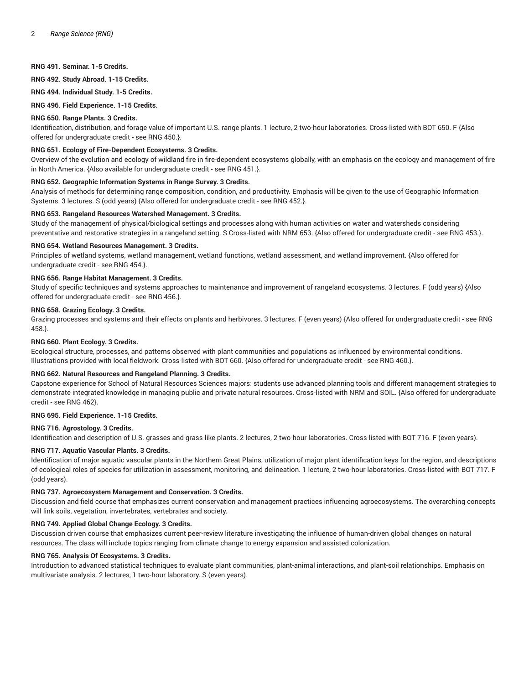## **RNG 491. Seminar. 1-5 Credits.**

**RNG 492. Study Abroad. 1-15 Credits.**

**RNG 494. Individual Study. 1-5 Credits.**

**RNG 496. Field Experience. 1-15 Credits.**

#### **RNG 650. Range Plants. 3 Credits.**

Identification, distribution, and forage value of important U.S. range plants. 1 lecture, 2 two-hour laboratories. Cross-listed with BOT 650. F {Also offered for undergraduate credit - see RNG 450.}.

#### **RNG 651. Ecology of Fire-Dependent Ecosystems. 3 Credits.**

Overview of the evolution and ecology of wildland fire in fire-dependent ecosystems globally, with an emphasis on the ecology and management of fire in North America. {Also available for undergraduate credit - see RNG 451.}.

# **RNG 652. Geographic Information Systems in Range Survey. 3 Credits.**

Analysis of methods for determining range composition, condition, and productivity. Emphasis will be given to the use of Geographic Information Systems. 3 lectures. S (odd years) {Also offered for undergraduate credit - see RNG 452.}.

#### **RNG 653. Rangeland Resources Watershed Management. 3 Credits.**

Study of the management of physical/biological settings and processes along with human activities on water and watersheds considering preventative and restorative strategies in a rangeland setting. S Cross-listed with NRM 653. {Also offered for undergraduate credit - see RNG 453.}.

# **RNG 654. Wetland Resources Management. 3 Credits.**

Principles of wetland systems, wetland management, wetland functions, wetland assessment, and wetland improvement. {Also offered for undergraduate credit - see RNG 454.}.

#### **RNG 656. Range Habitat Management. 3 Credits.**

Study of specific techniques and systems approaches to maintenance and improvement of rangeland ecosystems. 3 lectures. F (odd years) {Also offered for undergraduate credit - see RNG 456.}.

#### **RNG 658. Grazing Ecology. 3 Credits.**

Grazing processes and systems and their effects on plants and herbivores. 3 lectures. F (even years) {Also offered for undergraduate credit - see RNG 458.}.

#### **RNG 660. Plant Ecology. 3 Credits.**

Ecological structure, processes, and patterns observed with plant communities and populations as influenced by environmental conditions. Illustrations provided with local fieldwork. Cross-listed with BOT 660. {Also offered for undergraduate credit - see RNG 460.}.

#### **RNG 662. Natural Resources and Rangeland Planning. 3 Credits.**

Capstone experience for School of Natural Resources Sciences majors: students use advanced planning tools and different management strategies to demonstrate integrated knowledge in managing public and private natural resources. Cross-listed with NRM and SOIL. {Also offered for undergraduate credit - see RNG 462}.

#### **RNG 695. Field Experience. 1-15 Credits.**

#### **RNG 716. Agrostology. 3 Credits.**

Identification and description of U.S. grasses and grass-like plants. 2 lectures, 2 two-hour laboratories. Cross-listed with BOT 716. F (even years).

# **RNG 717. Aquatic Vascular Plants. 3 Credits.**

Identification of major aquatic vascular plants in the Northern Great Plains, utilization of major plant identification keys for the region, and descriptions of ecological roles of species for utilization in assessment, monitoring, and delineation. 1 lecture, 2 two-hour laboratories. Cross-listed with BOT 717. F (odd years).

#### **RNG 737. Agroecosystem Management and Conservation. 3 Credits.**

Discussion and field course that emphasizes current conservation and management practices influencing agroecosystems. The overarching concepts will link soils, vegetation, invertebrates, vertebrates and society.

## **RNG 749. Applied Global Change Ecology. 3 Credits.**

Discussion driven course that emphasizes current peer-review literature investigating the influence of human-driven global changes on natural resources. The class will include topics ranging from climate change to energy expansion and assisted colonization.

# **RNG 765. Analysis Of Ecosystems. 3 Credits.**

Introduction to advanced statistical techniques to evaluate plant communities, plant-animal interactions, and plant-soil relationships. Emphasis on multivariate analysis. 2 lectures, 1 two-hour laboratory. S (even years).